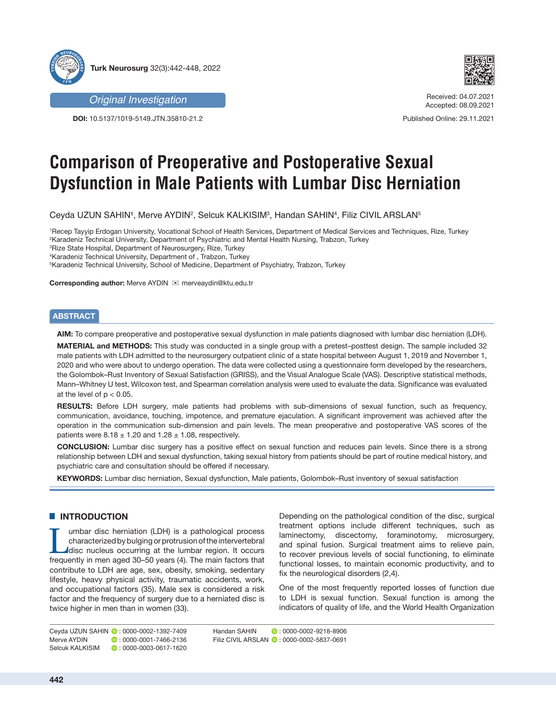



**DOI:** 10.5137/1019-5149.JTN.35810-21.2



Received: 04.07.2021 Accepted: 08.09.2021

Published Online: 29.11.2021

# **Comparison of Preoperative and Postoperative Sexual Dysfunction in Male Patients with Lumbar Disc Herniation**

Ceyda UZUN SAHIN1, Merve AYDIN<sup>2</sup>, Selcuk KALKISIM<sup>3</sup>, Handan SAHIN4, Filiz CIVIL ARSLAN<sup>5</sup>

 Recep Tayyip Erdogan University, Vocational School of Health Services, Department of Medical Services and Techniques, Rize, Turkey Karadeniz Technical University, Department of Psychiatric and Mental Health Nursing, Trabzon, Turkey Rize State Hospital, Department of Neurosurgery, Rize, Turkey Karadeniz Technical University, Department of , Trabzon, Turkey Karadeniz Technical University, School of Medicine, Department of Psychiatry, Trabzon, Turkey

**Corresponding author:** Merve AYDIN merveaydin@ktu.edu.tr

# **ABSTRACT**

**AIM:** To compare preoperative and postoperative sexual dysfunction in male patients diagnosed with lumbar disc herniation (LDH).

**MATERIAL and METHODS:** This study was conducted in a single group with a pretest–posttest design. The sample included 32 male patients with LDH admitted to the neurosurgery outpatient clinic of a state hospital between August 1, 2019 and November 1, 2020 and who were about to undergo operation. The data were collected using a questionnaire form developed by the researchers, the Golombok–Rust Inventory of Sexual Satisfaction (GRISS), and the Visual Analogue Scale (VAS). Descriptive statistical methods, Mann–Whitney U test, Wilcoxon test, and Spearman correlation analysis were used to evaluate the data. Significance was evaluated at the level of  $p < 0.05$ .

**RESULTS:** Before LDH surgery, male patients had problems with sub-dimensions of sexual function, such as frequency, communication, avoidance, touching, impotence, and premature ejaculation. A significant improvement was achieved after the operation in the communication sub-dimension and pain levels. The mean preoperative and postoperative VAS scores of the patients were  $8.18 \pm 1.20$  and  $1.28 \pm 1.08$ , respectively.

**CONCLUSION:** Lumbar disc surgery has a positive effect on sexual function and reduces pain levels. Since there is a strong relationship between LDH and sexual dysfunction, taking sexual history from patients should be part of routine medical history, and psychiatric care and consultation should be offered if necessary.

**KEYWORDS:** Lumbar disc herniation, Sexual dysfunction, Male patients, Golombok–Rust inventory of sexual satisfaction

# █ **INTRODUCTION**

I umbar disc herniation (LDH) is a pathological process<br>characterized by bulging or protrusion of the intervertebral<br>disc nucleus occurring at the lumbar region. It occurs<br>frequently in men aged 30–50 years (4). The main f characterized by bulging or protrusion of the intervertebral frequently in men aged 30–50 years (4). The main factors that contribute to LDH are age, sex, obesity, smoking, sedentary lifestyle, heavy physical activity, traumatic accidents, work, and occupational factors (35). Male sex is considered a risk factor and the frequency of surgery due to a herniated disc is twice higher in men than in women (33).

Depending on the pathological condition of the disc, surgical treatment options include different techniques, such as laminectomy, discectomy, foraminotomy, microsurgery, and spinal fusion. Surgical treatment aims to relieve pain, to recover previous levels of social functioning, to eliminate functional losses, to maintain economic productivity, and to fix the neurological disorders (2,4).

One of the most frequently reported losses of function due to LDH is sexual function. Sexual function is among the indicators of quality of life, and the World Health Organization

Ceyda UZUN SAHIN (0:0000-0002-1392-7409)<br>Merve AYDIN (0:0000-0001-7466-2136)  $\bullet$  : 0000-0001-7466-2136 Selcuk KALKISIM  $\bullet$  0000-0003-0617-1620 Handan SAHIN **: 0000-0002-9218-8906** Filiz CIVIL ARSLAN  $\bullet$  : 0000-0002-5837-0691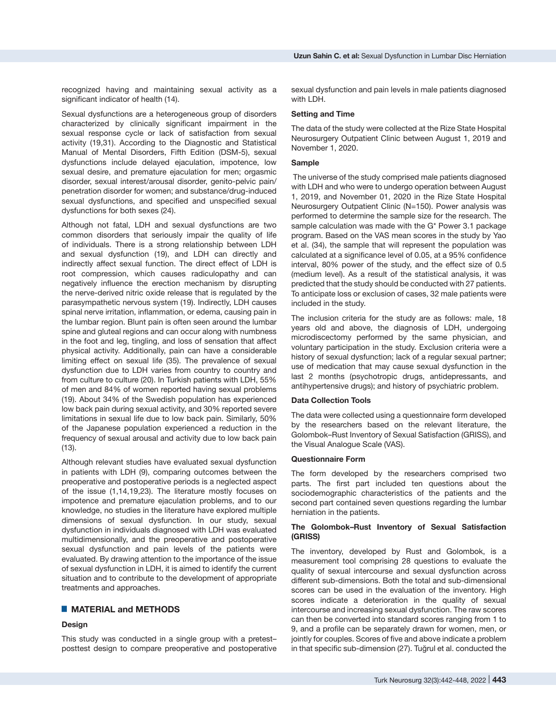recognized having and maintaining sexual activity as a significant indicator of health (14).

Sexual dysfunctions are a heterogeneous group of disorders characterized by clinically significant impairment in the sexual response cycle or lack of satisfaction from sexual activity (19,31). According to the Diagnostic and Statistical Manual of Mental Disorders, Fifth Edition (DSM-5), sexual dysfunctions include delayed ejaculation, impotence, low sexual desire, and premature ejaculation for men; orgasmic disorder, sexual interest/arousal disorder, genito-pelvic pain/ penetration disorder for women; and substance/drug-induced sexual dysfunctions, and specified and unspecified sexual dysfunctions for both sexes (24).

Although not fatal, LDH and sexual dysfunctions are two common disorders that seriously impair the quality of life of individuals. There is a strong relationship between LDH and sexual dysfunction (19), and LDH can directly and indirectly affect sexual function. The direct effect of LDH is root compression, which causes radiculopathy and can negatively influence the erection mechanism by disrupting the nerve-derived nitric oxide release that is regulated by the parasympathetic nervous system (19). Indirectly, LDH causes spinal nerve irritation, inflammation, or edema, causing pain in the lumbar region. Blunt pain is often seen around the lumbar spine and gluteal regions and can occur along with numbness in the foot and leg, tingling, and loss of sensation that affect physical activity. Additionally, pain can have a considerable limiting effect on sexual life (35). The prevalence of sexual dysfunction due to LDH varies from country to country and from culture to culture (20). In Turkish patients with LDH, 55% of men and 84% of women reported having sexual problems (19). About 34% of the Swedish population has experienced low back pain during sexual activity, and 30% reported severe limitations in sexual life due to low back pain. Similarly, 50% of the Japanese population experienced a reduction in the frequency of sexual arousal and activity due to low back pain (13).

Although relevant studies have evaluated sexual dysfunction in patients with LDH (9), comparing outcomes between the preoperative and postoperative periods is a neglected aspect of the issue (1,14,19,23). The literature mostly focuses on impotence and premature ejaculation problems, and to our knowledge, no studies in the literature have explored multiple dimensions of sexual dysfunction. In our study, sexual dysfunction in individuals diagnosed with LDH was evaluated multidimensionally, and the preoperative and postoperative sexual dysfunction and pain levels of the patients were evaluated. By drawing attention to the importance of the issue of sexual dysfunction in LDH, it is aimed to identify the current situation and to contribute to the development of appropriate treatments and approaches.

## █ **MATERIAL and METHODS**

#### **Design**

This study was conducted in a single group with a pretest– posttest design to compare preoperative and postoperative sexual dysfunction and pain levels in male patients diagnosed with LDH.

#### **Setting and Time**

The data of the study were collected at the Rize State Hospital Neurosurgery Outpatient Clinic between August 1, 2019 and November 1, 2020.

#### **Sample**

 The universe of the study comprised male patients diagnosed with LDH and who were to undergo operation between August 1, 2019, and November 01, 2020 in the Rize State Hospital Neurosurgery Outpatient Clinic (N=150). Power analysis was performed to determine the sample size for the research. The sample calculation was made with the G\* Power 3.1 package program. Based on the VAS mean scores in the study by Yao et al. (34), the sample that will represent the population was calculated at a significance level of 0.05, at a 95% confidence interval, 80% power of the study, and the effect size of 0.5 (medium level). As a result of the statistical analysis, it was predicted that the study should be conducted with 27 patients. To anticipate loss or exclusion of cases, 32 male patients were included in the study.

The inclusion criteria for the study are as follows: male, 18 years old and above, the diagnosis of LDH, undergoing microdiscectomy performed by the same physician, and voluntary participation in the study. Exclusion criteria were a history of sexual dysfunction; lack of a regular sexual partner; use of medication that may cause sexual dysfunction in the last 2 months (psychotropic drugs, antidepressants, and antihypertensive drugs); and history of psychiatric problem.

## **Data Collection Tools**

The data were collected using a questionnaire form developed by the researchers based on the relevant literature, the Golombok–Rust Inventory of Sexual Satisfaction (GRISS), and the Visual Analogue Scale (VAS).

#### **Questionnaire Form**

The form developed by the researchers comprised two parts. The first part included ten questions about the sociodemographic characteristics of the patients and the second part contained seven questions regarding the lumbar herniation in the patients.

# **The Golombok–Rust Inventory of Sexual Satisfaction (GRISS)**

The inventory, developed by Rust and Golombok, is a measurement tool comprising 28 questions to evaluate the quality of sexual intercourse and sexual dysfunction across different sub-dimensions. Both the total and sub-dimensional scores can be used in the evaluation of the inventory. High scores indicate a deterioration in the quality of sexual intercourse and increasing sexual dysfunction. The raw scores can then be converted into standard scores ranging from 1 to 9, and a profile can be separately drawn for women, men, or jointly for couples. Scores of five and above indicate a problem in that specific sub-dimension (27). Tuğrul et al. conducted the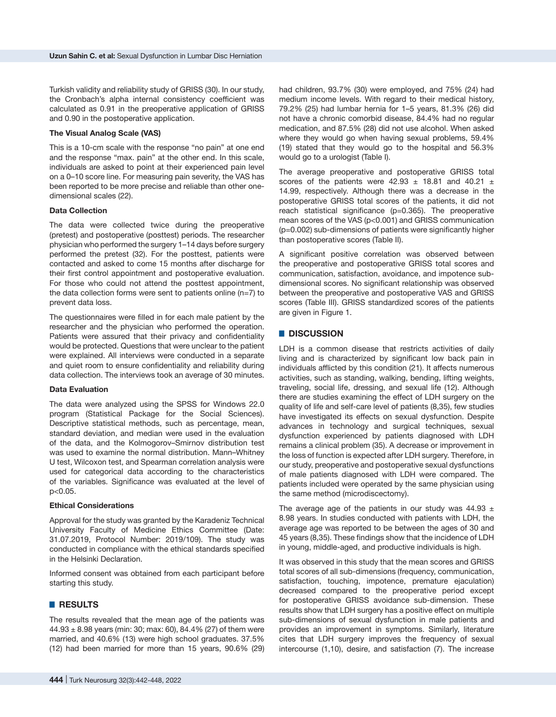Turkish validity and reliability study of GRISS (30). In our study, the Cronbach's alpha internal consistency coefficient was calculated as 0.91 in the preoperative application of GRISS and 0.90 in the postoperative application.

#### **The Visual Analog Scale (VAS)**

This is a 10-cm scale with the response "no pain" at one end and the response "max. pain" at the other end. In this scale, individuals are asked to point at their experienced pain level on a 0–10 score line. For measuring pain severity, the VAS has been reported to be more precise and reliable than other onedimensional scales (22).

#### **Data Collection**

The data were collected twice during the preoperative (pretest) and postoperative (posttest) periods. The researcher physician who performed the surgery 1–14 days before surgery performed the pretest (32). For the posttest, patients were contacted and asked to come 15 months after discharge for their first control appointment and postoperative evaluation. For those who could not attend the posttest appointment, the data collection forms were sent to patients online (n=7) to prevent data loss.

The questionnaires were filled in for each male patient by the researcher and the physician who performed the operation. Patients were assured that their privacy and confidentiality would be protected. Questions that were unclear to the patient were explained. All interviews were conducted in a separate and quiet room to ensure confidentiality and reliability during data collection. The interviews took an average of 30 minutes.

## **Data Evaluation**

The data were analyzed using the SPSS for Windows 22.0 program (Statistical Package for the Social Sciences). Descriptive statistical methods, such as percentage, mean, standard deviation, and median were used in the evaluation of the data, and the Kolmogorov–Smirnov distribution test was used to examine the normal distribution. Mann–Whitney U test, Wilcoxon test, and Spearman correlation analysis were used for categorical data according to the characteristics of the variables. Significance was evaluated at the level of p<0.05.

#### **Ethical Considerations**

Approval for the study was granted by the Karadeniz Technical University Faculty of Medicine Ethics Committee (Date: 31.07.2019, Protocol Number: 2019/109). The study was conducted in compliance with the ethical standards specified in the Helsinki Declaration.

Informed consent was obtained from each participant before starting this study.

#### █ **RESULTS**

The results revealed that the mean age of the patients was  $44.93 \pm 8.98$  years (min: 30; max: 60), 84.4% (27) of them were married, and 40.6% (13) were high school graduates. 37.5% (12) had been married for more than 15 years, 90.6% (29)

had children, 93.7% (30) were employed, and 75% (24) had medium income levels. With regard to their medical history, 79.2% (25) had lumbar hernia for 1–5 years, 81.3% (26) did not have a chronic comorbid disease, 84.4% had no regular medication, and 87.5% (28) did not use alcohol. When asked where they would go when having sexual problems, 59.4% (19) stated that they would go to the hospital and 56.3% would go to a urologist (Table I).

The average preoperative and postoperative GRISS total scores of the patients were  $42.93 \pm 18.81$  and  $40.21 \pm 10.21$ 14.99, respectively. Although there was a decrease in the postoperative GRISS total scores of the patients, it did not reach statistical significance (p=0.365). The preoperative mean scores of the VAS (p<0.001) and GRISS communication (p=0.002) sub-dimensions of patients were significantly higher than postoperative scores (Table II).

A significant positive correlation was observed between the preoperative and postoperative GRISS total scores and communication, satisfaction, avoidance, and impotence subdimensional scores. No significant relationship was observed between the preoperative and postoperative VAS and GRISS scores (Table III). GRISS standardized scores of the patients are given in Figure 1.

# █ **DISCUSSION**

LDH is a common disease that restricts activities of daily living and is characterized by significant low back pain in individuals afflicted by this condition (21). It affects numerous activities, such as standing, walking, bending, lifting weights, traveling, social life, dressing, and sexual life (12). Although there are studies examining the effect of LDH surgery on the quality of life and self-care level of patients (8,35), few studies have investigated its effects on sexual dysfunction. Despite advances in technology and surgical techniques, sexual dysfunction experienced by patients diagnosed with LDH remains a clinical problem (35). A decrease or improvement in the loss of function is expected after LDH surgery. Therefore, in our study, preoperative and postoperative sexual dysfunctions of male patients diagnosed with LDH were compared. The patients included were operated by the same physician using the same method (microdiscectomy).

The average age of the patients in our study was  $44.93 \pm$ 8.98 years. In studies conducted with patients with LDH, the average age was reported to be between the ages of 30 and 45 years (8,35). These findings show that the incidence of LDH in young, middle-aged, and productive individuals is high.

It was observed in this study that the mean scores and GRISS total scores of all sub-dimensions (frequency, communication, satisfaction, touching, impotence, premature ejaculation) decreased compared to the preoperative period except for postoperative GRISS avoidance sub-dimension. These results show that LDH surgery has a positive effect on multiple sub-dimensions of sexual dysfunction in male patients and provides an improvement in symptoms. Similarly, literature cites that LDH surgery improves the frequency of sexual intercourse (1,10), desire, and satisfaction (7). The increase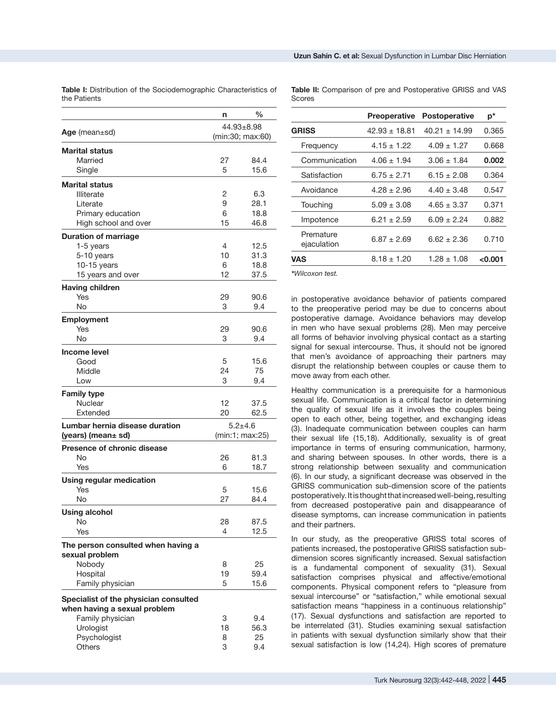|                                       | n               | $\frac{0}{0}$    |  |
|---------------------------------------|-----------------|------------------|--|
|                                       | 44.93±8.98      |                  |  |
| Age (mean $\pm$ sd)                   |                 | (min:30; max:60) |  |
| <b>Marital status</b>                 |                 |                  |  |
| Married                               | 27              | 84.4             |  |
| Single                                | 5               | 15.6             |  |
| <b>Marital status</b>                 |                 |                  |  |
| <b>Illiterate</b>                     | 2               | 6.3              |  |
| Literate                              | 9               | 28.1             |  |
| Primary education                     | 6               | 18.8             |  |
| High school and over                  | 15              | 46.8             |  |
| <b>Duration of marriage</b>           |                 |                  |  |
| 1-5 years                             | 4               | 12.5             |  |
| 5-10 years                            | 10              | 31.3             |  |
| $10-15$ years                         | 6               | 18.8             |  |
| 15 years and over                     | 12              | 37.5             |  |
| <b>Having children</b>                |                 |                  |  |
| Yes                                   | 29              | 90.6             |  |
| No                                    | 3               | 9.4              |  |
| <b>Employment</b>                     |                 |                  |  |
| Yes                                   | 29              | 90.6             |  |
| No                                    | 3               | 9.4              |  |
| <b>Income level</b>                   |                 |                  |  |
| Good                                  | 5               | 15.6             |  |
| Middle                                | 24              | 75               |  |
| Low                                   | 3               | 9.4              |  |
| <b>Family type</b>                    |                 |                  |  |
| Nuclear                               | 12              | 37.5             |  |
| Extended                              | 20              | 62.5             |  |
| Lumbar hernia disease duration        |                 | $5.2 + 4.6$      |  |
| (years) (mean± sd)                    | (min:1; max:25) |                  |  |
| <b>Presence of chronic disease</b>    |                 |                  |  |
| No                                    | 26              | 81.3             |  |
| Yes                                   | 6               | 18.7             |  |
| <b>Using regular medication</b>       |                 |                  |  |
| Yes                                   | 5               | 15.6             |  |
| <b>No</b>                             | 27              | 84.4             |  |
|                                       |                 |                  |  |
| <b>Using alcohol</b><br>No            |                 |                  |  |
| Yes                                   | 28<br>4         | 87.5<br>12.5     |  |
|                                       |                 |                  |  |
| The person consulted when having a    |                 |                  |  |
| sexual problem                        |                 |                  |  |
| Nobody                                | 8<br>19         | 25               |  |
| Hospital                              | 5               | 59.4<br>15.6     |  |
| Family physician                      |                 |                  |  |
| Specialist of the physician consulted |                 |                  |  |
| when having a sexual problem          |                 |                  |  |
| Family physician                      | 3               | 9.4              |  |
| Urologist                             | 18              | 56.3             |  |
| Psychologist                          | 8               | 25               |  |

3

9.4

**Others** 

**Table I:** Distribution of the Sociodemographic Characteristics of the Patients

**Table II:** Comparison of pre and Postoperative GRISS and VAS Scores

|                          | <b>Preoperative</b> | <b>Postoperative</b> | $p^*$   |
|--------------------------|---------------------|----------------------|---------|
| GRISS                    | $42.93 + 18.81$     | $40.21 + 14.99$      | 0.365   |
| Frequency                | $4.15 \pm 1.22$     | $4.09 + 1.27$        | 0.668   |
| Communication            | $4.06 + 1.94$       | $3.06 \pm 1.84$      | 0.002   |
| Satisfaction             | $6.75 \pm 2.71$     | $6.15 \pm 2.08$      | 0.364   |
| Avoidance                | 4.28 + 2.96         | $4.40 \pm 3.48$      | 0.547   |
| Touching                 | $5.09 \pm 3.08$     | $4.65 \pm 3.37$      | 0.371   |
| Impotence                | 6.21 + 2.59         | $6.09 + 2.24$        | 0.882   |
| Premature<br>ejaculation | $6.87 + 2.69$       | 6.62 + 2.36          | 0.710   |
| VAS                      | $8.18 \pm 1.20$     | $1.28 \pm 1.08$      | < 0.001 |
|                          |                     |                      |         |

*\*Wilcoxon test.*

in postoperative avoidance behavior of patients compared to the preoperative period may be due to concerns about postoperative damage. Avoidance behaviors may develop in men who have sexual problems (28). Men may perceive all forms of behavior involving physical contact as a starting signal for sexual intercourse. Thus, it should not be ignored that men's avoidance of approaching their partners may disrupt the relationship between couples or cause them to move away from each other.

Healthy communication is a prerequisite for a harmonious sexual life. Communication is a critical factor in determining the quality of sexual life as it involves the couples being open to each other, being together, and exchanging ideas (3). Inadequate communication between couples can harm their sexual life (15,18). Additionally, sexuality is of great importance in terms of ensuring communication, harmony, and sharing between spouses. In other words, there is a strong relationship between sexuality and communication (6). In our study, a significant decrease was observed in the GRISS communication sub-dimension score of the patients postoperatively. It is thought that increased well-being, resulting from decreased postoperative pain and disappearance of disease symptoms, can increase communication in patients and their partners.

In our study, as the preoperative GRISS total scores of patients increased, the postoperative GRISS satisfaction subdimension scores significantly increased. Sexual satisfaction is a fundamental component of sexuality (31). Sexual satisfaction comprises physical and affective/emotional components. Physical component refers to "pleasure from sexual intercourse" or "satisfaction," while emotional sexual satisfaction means "happiness in a continuous relationship" (17). Sexual dysfunctions and satisfaction are reported to be interrelated (31). Studies examining sexual satisfaction in patients with sexual dysfunction similarly show that their sexual satisfaction is low (14,24). High scores of premature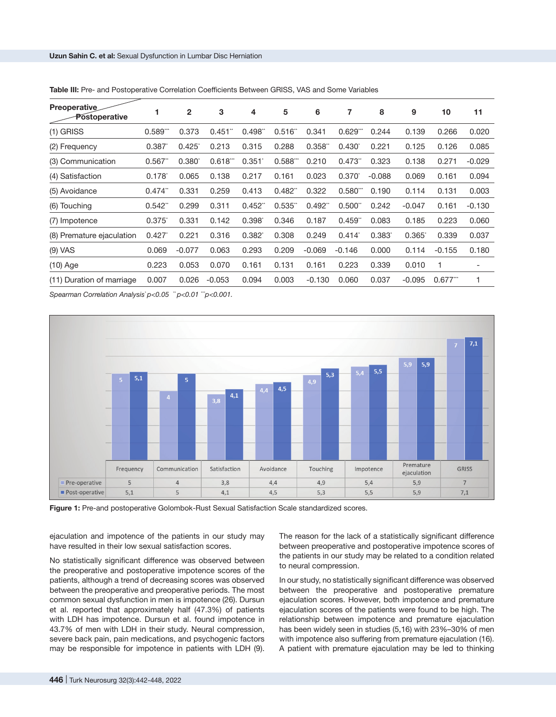| <b>Preoperative</b><br>Postoperative                                         |                       | $\overline{2}$    | 3        | 4           | 5                     | 6        | 7           | 8                    | 9               | 10       | 11                       |
|------------------------------------------------------------------------------|-----------------------|-------------------|----------|-------------|-----------------------|----------|-------------|----------------------|-----------------|----------|--------------------------|
| $(1)$ GRISS                                                                  | 0.589"                | 0.373             | 0.451    | $0.498$ "   | $0.516^{*}$           | 0.341    | $0.629^{*}$ | 0.244                | 0.139           | 0.266    | 0.020                    |
| (2) Frequency                                                                | 0.387                 | $0.425^{\degree}$ | 0.213    | 0.315       | 0.288                 | 0.358"   | $0.430^{*}$ | 0.221                | 0.125           | 0.126    | 0.085                    |
| (3) Communication                                                            | 0.567                 | $0.380^{\circ}$   | 0.618"   | 0.351'      | 0.588"                | 0.210    | $0.473$ "   | 0.323                | 0.138           | 0.271    | $-0.029$                 |
| (4) Satisfaction                                                             | $0.178^{*}$           | 0.065             | 0.138    | 0.217       | 0.161                 | 0.023    | $0.370^{*}$ | $-0.088$             | 0.069           | 0.161    | 0.094                    |
| (5) Avoidance                                                                | $0.474$ <sup>**</sup> | 0.331             | 0.259    | 0.413       | $0.482$ <sup>**</sup> | 0.322    | $0.580^{n}$ | 0.190                | 0.114           | 0.131    | 0.003                    |
| (6) Touching                                                                 | 0.542"                | 0.299             | 0.311    | $0.452^{n}$ | 0.535                 | 0.492"   | 0.500"      | 0.242                | $-0.047$        | 0.161    | $-0.130$                 |
| (7) Impotence                                                                | $0.375^{\degree}$     | 0.331             | 0.142    | $0.398^{*}$ | 0.346                 | 0.187    | $0.459^{*}$ | 0.083                | 0.185           | 0.223    | 0.060                    |
| (8) Premature ejaculation                                                    | 0.427                 | 0.221             | 0.316    | $0.382^{*}$ | 0.308                 | 0.249    | 0.414       | $0.383$ <sup>*</sup> | $0.365^{\circ}$ | 0.339    | 0.037                    |
| $(9)$ VAS                                                                    | 0.069                 | $-0.077$          | 0.063    | 0.293       | 0.209                 | $-0.069$ | $-0.146$    | 0.000                | 0.114           | $-0.155$ | 0.180                    |
| $(10)$ Age                                                                   | 0.223                 | 0.053             | 0.070    | 0.161       | 0.131                 | 0.161    | 0.223       | 0.339                | 0.010           |          | $\overline{\phantom{a}}$ |
| (11) Duration of marriage                                                    | 0.007                 | 0.026             | $-0.053$ | 0.094       | 0.003                 | $-0.130$ | 0.060       | 0.037                | $-0.095$        | 0.677''' |                          |
| $0.01$ $\mu$ $0.004$ $\mu$ $0.004$ $\mu$ $0.004$ $\mu$ $0.004$ $\mu$ $0.004$ |                       |                   |          |             |                       |          |             |                      |                 |          |                          |

**Table III:** Pre- and Postoperative Correlation Coefficients Between GRISS, VAS and Some Variables

*Spearman Correlation Analysis\* p<0.05 \*\* p<0.01 \*\*\*p<0.001.*





ejaculation and impotence of the patients in our study may have resulted in their low sexual satisfaction scores.

No statistically significant difference was observed between the preoperative and postoperative impotence scores of the patients, although a trend of decreasing scores was observed between the preoperative and preoperative periods. The most common sexual dysfunction in men is impotence (26). Dursun et al. reported that approximately half (47.3%) of patients with LDH has impotence. Dursun et al. found impotence in 43.7% of men with LDH in their study. Neural compression, severe back pain, pain medications, and psychogenic factors may be responsible for impotence in patients with LDH (9).

The reason for the lack of a statistically significant difference between preoperative and postoperative impotence scores of the patients in our study may be related to a condition related to neural compression.

In our study, no statistically significant difference was observed between the preoperative and postoperative premature ejaculation scores. However, both impotence and premature ejaculation scores of the patients were found to be high. The relationship between impotence and premature ejaculation has been widely seen in studies (5,16) with 23%–30% of men with impotence also suffering from premature ejaculation (16). A patient with premature ejaculation may be led to thinking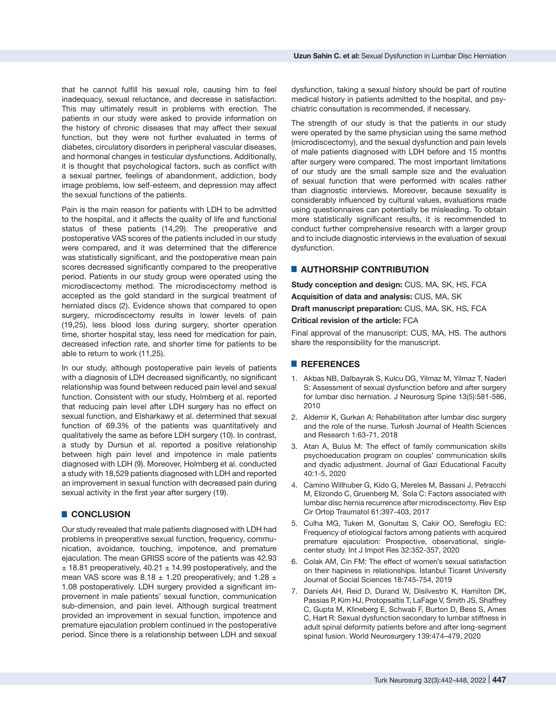that he cannot fulfill his sexual role, causing him to feel inadequacy, sexual reluctance, and decrease in satisfaction. This may ultimately result in problems with erection. The patients in our study were asked to provide information on the history of chronic diseases that may affect their sexual function, but they were not further evaluated in terms of diabetes, circulatory disorders in peripheral vascular diseases, and hormonal changes in testicular dysfunctions. Additionally, it is thought that psychological factors, such as conflict with a sexual partner, feelings of abandonment, addiction, body image problems, low self-esteem, and depression may affect the sexual functions of the patients.

Pain is the main reason for patients with LDH to be admitted to the hospital, and it affects the quality of life and functional status of these patients (14,29). The preoperative and postoperative VAS scores of the patients included in our study were compared, and it was determined that the difference was statistically significant, and the postoperative mean pain scores decreased significantly compared to the preoperative period. Patients in our study group were operated using the microdiscectomy method. The microdiscectomy method is accepted as the gold standard in the surgical treatment of herniated discs (2). Evidence shows that compared to open surgery, microdiscectomy results in lower levels of pain (19,25), less blood loss during surgery, shorter operation time, shorter hospital stay, less need for medication for pain, decreased infection rate, and shorter time for patients to be able to return to work (11,25).

In our study, although postoperative pain levels of patients with a diagnosis of LDH decreased significantly, no significant relationship was found between reduced pain level and sexual function. Consistent with our study, Holmberg et al. reported that reducing pain level after LDH surgery has no effect on sexual function, and Elsharkawy et al. determined that sexual function of 69.3% of the patients was quantitatively and qualitatively the same as before LDH surgery (10). In contrast, a study by Dursun et al. reported a positive relationship between high pain level and impotence in male patients diagnosed with LDH (9). Moreover, Holmberg et al. conducted a study with 18,529 patients diagnosed with LDH and reported an improvement in sexual function with decreased pain during sexual activity in the first year after surgery (19).

# █ **CONCLUSION**

Our study revealed that male patients diagnosed with LDH had problems in preoperative sexual function, frequency, communication, avoidance, touching, impotence, and premature ejaculation. The mean GRISS score of the patients was 42.93  $\pm$  18.81 preoperatively, 40.21  $\pm$  14.99 postoperatively, and the mean VAS score was  $8.18 \pm 1.20$  preoperatively, and  $1.28 \pm 1.20$ 1.08 postoperatively. LDH surgery provided a significant improvement in male patients' sexual function, communication sub-dimension, and pain level. Although surgical treatment provided an improvement in sexual function, impotence and premature ejaculation problem continued in the postoperative period. Since there is a relationship between LDH and sexual

dysfunction, taking a sexual history should be part of routine medical history in patients admitted to the hospital, and psychiatric consultation is recommended, if necessary.

The strength of our study is that the patients in our study were operated by the same physician using the same method (microdiscectomy), and the sexual dysfunction and pain levels of male patients diagnosed with LDH before and 15 months after surgery were compared. The most important limitations of our study are the small sample size and the evaluation of sexual function that were performed with scales rather than diagnostic interviews. Moreover, because sexuality is considerably influenced by cultural values, evaluations made using questionnaires can potentially be misleading. To obtain more statistically significant results, it is recommended to conduct further comprehensive research with a larger group and to include diagnostic interviews in the evaluation of sexual dysfunction.

# **E** AUTHORSHIP CONTRIBUTION

**Study conception and design:** CUS, MA, SK, HS, FCA **Acquisition of data and analysis:** CUS, MA, SK

**Draft manuscript preparation:** CUS, MA, SK, HS, FCA

**Critical revision of the article:** FCA

Final approval of the manuscript: CUS, MA, HS. The authors share the responsibility for the manuscript.

## █ **REFERENCES**

- 1. Akbas NB, Dalbayrak S, Kulcu DG, Yilmaz M, Yilmaz T, Naderi S: Assessment of sexual dysfunction before and after surgery for lumbar disc herniation. J Neurosurg Spine 13(5):581-586, 2010
- 2. Aldemir K, Gurkan A: Rehabilitation after lumbar disc surgery and the role of the nurse. Turkısh Journal of Health Sciences and Research 1:63-71, 2018
- 3. Atan A, Bulus M: The effect of family communication skills psychoeducation program on couples' communication skills and dyadic adjustment. Journal of Gazi Educational Faculty 40:1-5, 2020
- 4. Camino Willhuber G, Kido G, Mereles M, Bassani J, Petracchi M, Elizondo C, Gruenberg M, Sola C: Factors associated with lumbar disc hernia recurrence after microdiscectomy. Rev Esp Cir Ortop Traumatol 61:397-403, 2017
- 5. Culha MG, Tuken M, Gonultas S, Cakir OO, Serefoglu EC: Frequency of etiological factors among patients with acquired premature ejaculation: Prospective, observational, singlecenter study. Int J Impot Res 32:352-357, 2020
- 6. Colak AM, Cin FM: The effect of women's sexual satisfaction on their hapiness in relationships. İstanbul Ticaret University Journal of Social Sciences 18:745-754, 2019
- 7. Daniels AH, Reid D, Durand W, Disilvestro K, Hamilton DK, Passias P, Kim HJ, Protopsaltis T, LaFage V, Smith JS, Shaffrey C, Gupta M, Klineberg E, Schwab F, Burton D, Bess S, Ames C, Hart R: Sexual dysfunction secondary to lumbar stiffness in adult spinal deformity patients before and after long-segment spinal fusion. World Neurosurgery 139:474–479, 2020